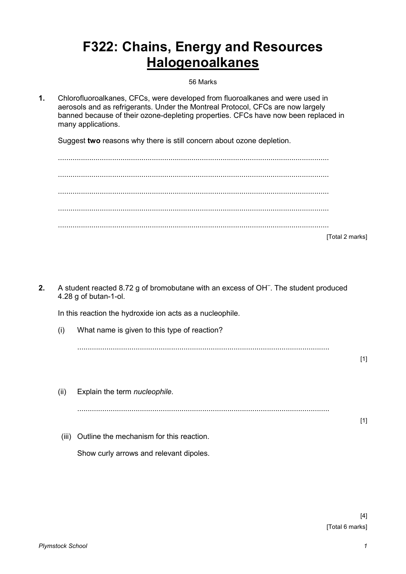## **F322: Chains, Energy and Resources Halogenoalkanes**

56 Marks

**1.** Chlorofluoroalkanes, CFCs, were developed from fluoroalkanes and were used in aerosols and as refrigerants. Under the Montreal Protocol, CFCs are now largely banned because of their ozone-depleting properties. CFCs have now been replaced in many applications.

Suggest **two** reasons why there is still concern about ozone depletion.

| [Total 2 marks] |
|-----------------|

**2.** A student reacted 8.72 g of bromobutane with an excess of OH– . The student produced 4.28 g of butan-1-ol.

In this reaction the hydroxide ion acts as a nucleophile.

(i) What name is given to this type of reaction?

.........................................................................................................................

[1]

(ii) Explain the term *nucleophile*. .........................................................................................................................  $[1]$  (iii) Outline the mechanism for this reaction. Show curly arrows and relevant dipoles.

> [4] [Total 6 marks]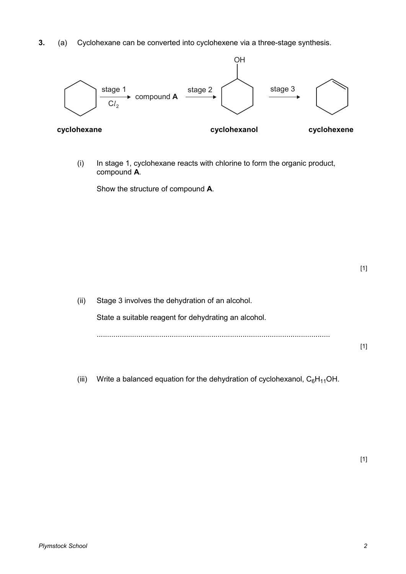**3.** (a) Cyclohexane can be converted into cyclohexene via a three-stage synthesis.



(i) In stage 1, cyclohexane reacts with chlorine to form the organic product, compound **A**.

Show the structure of compound **A**.

| (ii) | Stage 3 involves the dehydration of an alcohol.      |  |
|------|------------------------------------------------------|--|
|      | State a suitable reagent for dehydrating an alcohol. |  |
|      |                                                      |  |
|      |                                                      |  |

(iii) Write a balanced equation for the dehydration of cyclohexanol,  $C_6H_{11}OH$ .

[1]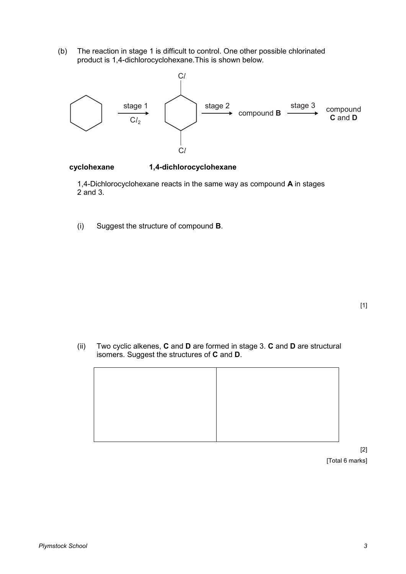(b) The reaction in stage 1 is difficult to control. One other possible chlorinated product is 1,4-dichlorocyclohexane.This is shown below.



## **cyclohexane 1,4-dichlorocyclohexane**

 1,4-Dichlorocyclohexane reacts in the same way as compound **A** in stages 2 and 3.

(i) Suggest the structure of compound **B**.

(ii) Two cyclic alkenes, **C** and **D** are formed in stage 3. **C** and **D** are structural isomers. Suggest the structures of **C** and **D**.



[2] [Total 6 marks]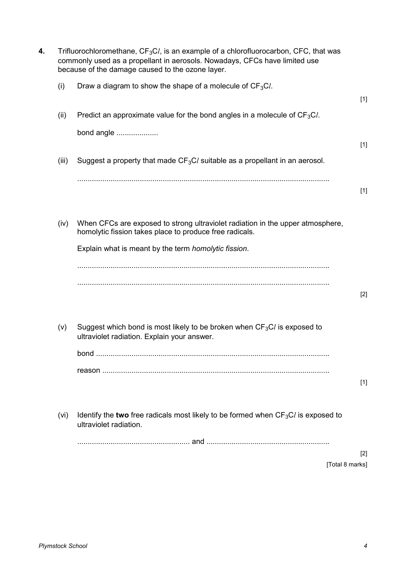| 4. |       | Trifluorochloromethane, $CF_3Cl$ , is an example of a chlorofluorocarbon, CFC, that was<br>commonly used as a propellant in aerosols. Nowadays, CFCs have limited use<br>because of the damage caused to the ozone layer. |       |
|----|-------|---------------------------------------------------------------------------------------------------------------------------------------------------------------------------------------------------------------------------|-------|
|    | (i)   | Draw a diagram to show the shape of a molecule of $CF_3Cl$ .                                                                                                                                                              | $[1]$ |
|    | (ii)  | Predict an approximate value for the bond angles in a molecule of $CF_3Cl$ .                                                                                                                                              |       |
|    |       | bond angle                                                                                                                                                                                                                | $[1]$ |
|    | (iii) | Suggest a property that made $CF_3C$ suitable as a propellant in an aerosol.                                                                                                                                              |       |
|    |       |                                                                                                                                                                                                                           | $[1]$ |
|    | (iv)  | When CFCs are exposed to strong ultraviolet radiation in the upper atmosphere,<br>homolytic fission takes place to produce free radicals.                                                                                 |       |
|    |       | Explain what is meant by the term homolytic fission.                                                                                                                                                                      |       |
|    |       |                                                                                                                                                                                                                           | $[2]$ |
|    | (v)   | Suggest which bond is most likely to be broken when $CF3Cl$ is exposed to<br>ultraviolet radiation. Explain your answer.                                                                                                  |       |
|    |       |                                                                                                                                                                                                                           |       |
|    |       |                                                                                                                                                                                                                           | $[1]$ |
|    | (vi)  | Identify the two free radicals most likely to be formed when $CF_3Cl$ is exposed to<br>ultraviolet radiation.                                                                                                             |       |
|    |       |                                                                                                                                                                                                                           |       |
|    |       | [Total 8 marks]                                                                                                                                                                                                           | $[2]$ |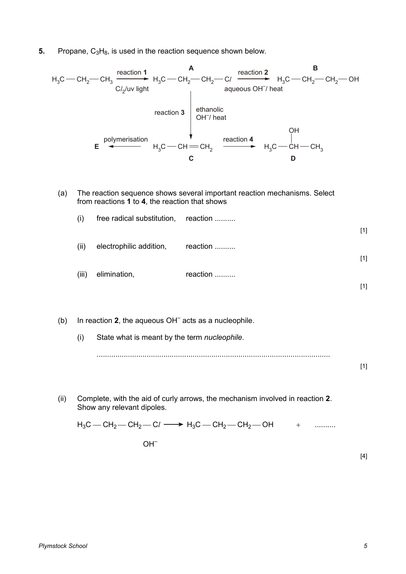**5.** Propane, C<sub>3</sub>H<sub>8</sub>, is used in the reaction sequence shown below.



(a) The reaction sequence shows several important reaction mechanisms. Select from reactions **1** to **4**, the reaction that shows

| (i)   | free radical substitution, reaction |               |       |
|-------|-------------------------------------|---------------|-------|
|       |                                     |               | $[1]$ |
| (ii)  | electrophilic addition,             | reaction      |       |
|       |                                     |               | $[1]$ |
| (iii) | elimination,                        | reaction<br>. |       |
|       |                                     |               | [1]   |

(b) In reaction 2, the aqueous OH<sup>-</sup> acts as a nucleophile. (i) State what is meant by the term *nucleophile*. ................................................................................................................

(ii) Complete, with the aid of curly arrows, the mechanism involved in reaction **2**. Show any relevant dipoles.

 $H_3C = CH_2 - CH_2 - Cl \longrightarrow H_3C = CH_2 - CH_2 - OH$  + ..........

 $OH<sup>-</sup>$ 

[4]

[1]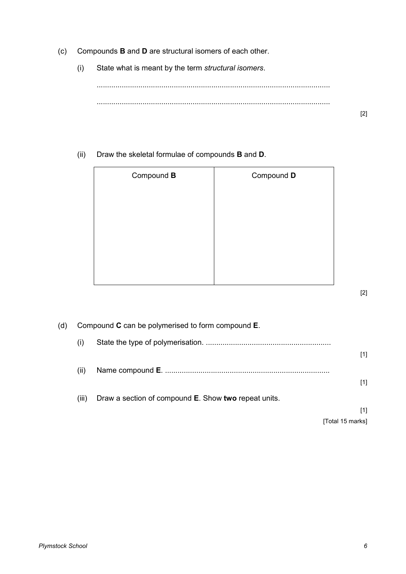- (c) Compounds **B** and **D** are structural isomers of each other.
	- (i) State what is meant by the term *structural isomers*.

................................................................................................................ ................................................................................................................

(ii) Draw the skeletal formulae of compounds **B** and **D**.

| Compound B | Compound D |
|------------|------------|
|            |            |
|            |            |
|            |            |
|            |            |
|            |            |
|            |            |

(d) Compound **C** can be polymerised to form compound **E**. (i) State the type of polymerisation. ............................................................ [1] (ii) Name compound **E**. ............................................................................... [1] (iii) Draw a section of compound **E**. Show **two** repeat units. [1] [Total 15 marks]

[2]

[2]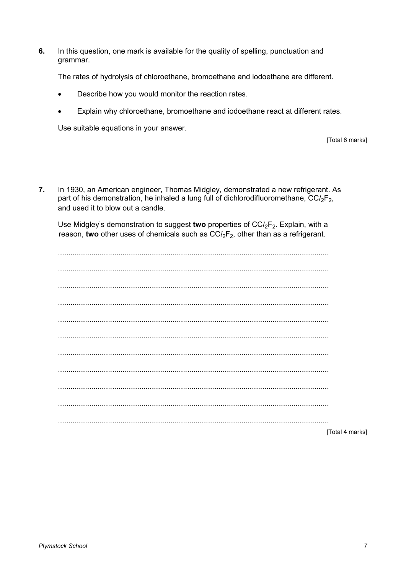$6.$ In this question, one mark is available for the quality of spelling, punctuation and grammar.

The rates of hydrolysis of chloroethane, bromoethane and iodoethane are different.

- Describe how you would monitor the reaction rates.
- Explain why chloroethane, bromoethane and iodoethane react at different rates.

Use suitable equations in your answer.

**ITotal 6 marks1** 

 $7<sub>1</sub>$ In 1930, an American engineer, Thomas Midgley, demonstrated a new refrigerant. As part of his demonstration, he inhaled a lung full of dichlorodifluoromethane,  $CCl_2F_2$ , and used it to blow out a candle.

Use Midgley's demonstration to suggest two properties of  $CCl_2F_2$ . Explain, with a reason, two other uses of chemicals such as  $CCl_2F_2$ , other than as a refrigerant.

[Total 4 marks]